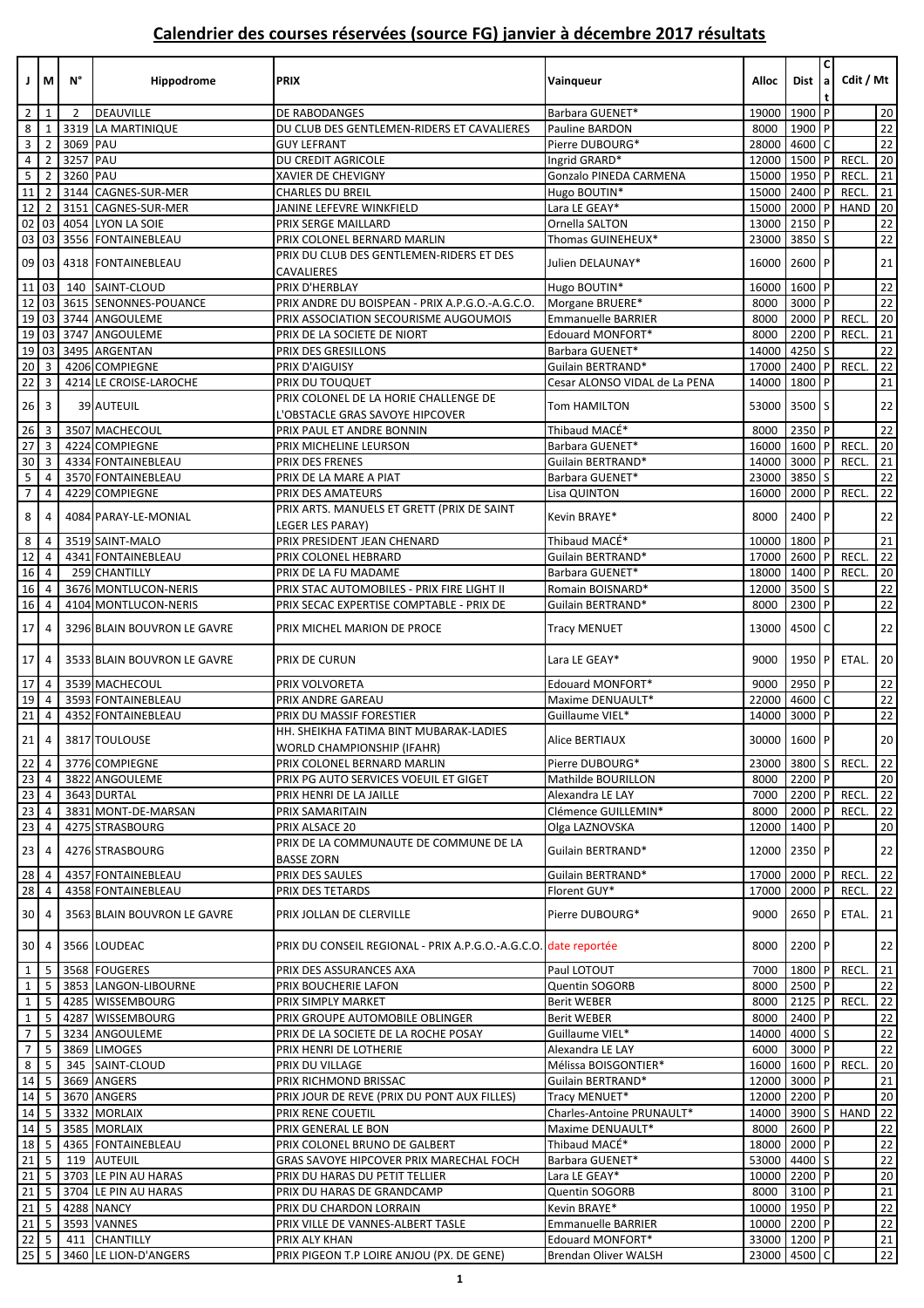| ΙI                               | M                            | N°             | Hippodrome                  | <b>PRIX</b>                                                                 | Vainqueur                     | <b>Alloc</b>      | <b>Dist</b> | $\mathsf{C}$   | Cdit / Mt            |                 |
|----------------------------------|------------------------------|----------------|-----------------------------|-----------------------------------------------------------------------------|-------------------------------|-------------------|-------------|----------------|----------------------|-----------------|
| $\overline{2}$                   | 1                            | $\overline{2}$ | DEAUVILLE                   | DE RABODANGES                                                               | Barbara GUENET*               | 19000             | 1900 P      |                |                      | 20              |
| 8                                | 1                            | 3319           | LA MARTINIQUE               | DU CLUB DES GENTLEMEN-RIDERS ET CAVALIERES                                  | Pauline BARDON                | 8000              | 1900 P      |                |                      | 22              |
| $\mathbf{3}$                     | $\overline{2}$               | 3069 PAU       |                             | <b>GUY LEFRANT</b>                                                          | Pierre DUBOURG*               | 28000             | 4600        | $\overline{C}$ |                      | 22              |
| $\overline{a}$                   | $\overline{2}$               | 3257 PAU       |                             | DU CREDIT AGRICOLE                                                          | Ingrid GRARD*                 | 12000             | 1500        | P              | <b>RECL</b>          | 20              |
| 5 <sup>5</sup>                   | $\overline{2}$               | 3260 PAU       |                             | XAVIER DE CHEVIGNY                                                          | Gonzalo PINEDA CARMENA        | 15000             | 1950        | P              | RECL.                | 21              |
| 11                               | $\overline{2}$               |                | 3144 CAGNES-SUR-MER         | <b>CHARLES DU BREIL</b>                                                     | Hugo BOUTIN*                  | 15000             | 2400        | P              | RECL.                | $21\,$          |
| 12                               | $\overline{2}$               | 3151           | CAGNES-SUR-MER              | JANINE LEFEVRE WINKFIELD                                                    | Lara LE GEAY*                 | 15000             | 2000        | P              | HAND                 | 20              |
|                                  | 02 03                        |                | 4054 LYON LA SOIE           | PRIX SERGE MAILLARD                                                         | Ornella SALTON                | 13000             | 2150 P      |                |                      | 22              |
|                                  | 03 03                        |                | 3556 FONTAINEBLEAU          | PRIX COLONEL BERNARD MARLIN                                                 | Thomas GUINEHEUX*             | 23000             | $3850$ S    |                |                      | 22              |
| 09                               | 03                           |                | 4318 FONTAINEBLEAU          | PRIX DU CLUB DES GENTLEMEN-RIDERS ET DES<br>CAVALIERES                      | Julien DELAUNAY*              | 16000             | $2600$ P    |                |                      | 21              |
| 11                               | 03                           | 140            | SAINT-CLOUD                 | PRIX D'HERBLAY                                                              | Hugo BOUTIN*                  | 16000             | 1600 P      |                |                      | $\overline{22}$ |
| 12                               | 03                           |                | 3615 SENONNES-POUANCE       | PRIX ANDRE DU BOISPEAN - PRIX A.P.G.O.-A.G.C.O.                             | Morgane BRUERE*               | 8000              | 3000 P      |                |                      | 22              |
| 19                               | 03                           |                | 3744 ANGOULEME              | PRIX ASSOCIATION SECOURISME AUGOUMOIS                                       | Emmanuelle BARRIER            | 8000              | 2000        | P              | <b>RECL</b>          | $20\,$          |
|                                  | 19 03                        |                | 3747 ANGOULEME              | PRIX DE LA SOCIETE DE NIORT                                                 | Edouard MONFORT*              | 8000              | 2200        | <b>P</b>       | RECL.                | 21              |
| 19                               | 03                           |                | 3495 ARGENTAN               | PRIX DES GRESILLONS                                                         | Barbara GUENET*               | 14000             | 4250        |                |                      | $\overline{22}$ |
| 20                               | 3                            |                | 4206 COMPIEGNE              | PRIX D'AIGUISY                                                              | Guilain BERTRAND*             | 17000             | 2400        | P              | <b>RECL</b>          | $\overline{22}$ |
| 22                               | 3                            |                | 4214 LE CROISE-LAROCHE      | PRIX DU TOUQUET                                                             | Cesar ALONSO VIDAL de La PENA | 14000             | 1800 P      |                |                      | 21              |
| 26                               | $\overline{\mathbf{3}}$      |                | 39 AUTEUIL                  | PRIX COLONEL DE LA HORIE CHALLENGE DE<br>'OBSTACLE GRAS SAVOYE HIPCOVER     | Tom HAMILTON                  | 53000             | 3500        | S              |                      | 22              |
| 26                               | $\overline{3}$               |                | 3507 MACHECOUL              | PRIX PAUL ET ANDRE BONNIN                                                   | Thibaud MACÉ*                 | 8000              | 2350 P      |                |                      | $\overline{22}$ |
| 27                               | $\overline{3}$               |                | 4224 COMPIEGNE              | PRIX MICHELINE LEURSON                                                      | Barbara GUENET*               | 16000             | 1600 P      |                | <b>RECL</b>          | 20              |
| 30                               | 3                            |                | 4334 FONTAINEBLEAU          | PRIX DES FRENES                                                             | Guilain BERTRAND*             | 14000             | 3000 P      |                | RECL.                | 21              |
| $\overline{\mathbf{5}}$          | 4                            |                | 3570 FONTAINEBLEAU          | PRIX DE LA MARE A PIAT                                                      | Barbara GUENET*               | 23000             | 3850        |                |                      | $22\,$          |
| $\overline{7}$                   | 4                            |                | 4229 COMPIEGNE              | PRIX DES AMATEURS                                                           | Lisa QUINTON                  | 16000             | 2000        | P              | RECL                 | 22              |
| 8                                | 4                            |                | 4084 PARAY-LE-MONIAL        | PRIX ARTS. MANUELS ET GRETT (PRIX DE SAINT<br>LEGER LES PARAY)              | Kevin BRAYE*                  | 8000              | 2400 P      |                |                      | 22              |
| 8                                | 4                            |                | 3519 SAINT-MALO             | PRIX PRESIDENT JEAN CHENARD                                                 | Thibaud MACÉ*                 | 10000             | $1800$ P    |                |                      | 21              |
| 12                               | 4                            |                | 4341 FONTAINEBLEAU          | PRIX COLONEL HEBRARD                                                        | Guilain BERTRAND*             | 17000             | $2600$ P    |                | RECL                 | $\overline{22}$ |
| 16                               | $\overline{4}$               |                | 259 CHANTILLY               | PRIX DE LA FU MADAME                                                        | Barbara GUENET*               | 18000             | 1400        |                | <b>RECL</b>          | $\overline{20}$ |
| 16                               | 4                            |                | 3676 MONTLUCON-NERIS        | PRIX STAC AUTOMOBILES - PRIX FIRE LIGHT II                                  | Romain BOISNARD*              | 12000             | 3500        | l S            |                      | $\overline{22}$ |
| 16                               | 4                            |                | 4104 MONTLUCON-NERIS        | PRIX SECAC EXPERTISE COMPTABLE - PRIX DE                                    | Guilain BERTRAND*             | 8000              | 2300 P      |                |                      | 22              |
| 17                               | 4                            |                | 3296 BLAIN BOUVRON LE GAVRE | PRIX MICHEL MARION DE PROCE                                                 | <b>Tracy MENUET</b>           | 13000             | 4500        | $\overline{C}$ |                      | 22              |
| 17                               | $\overline{4}$               |                | 3533 BLAIN BOUVRON LE GAVRE | PRIX DE CURUN                                                               | Lara LE GEAY*                 | 9000              | 1950 P      |                | ETAL.                | 20              |
| 17                               | $\overline{4}$               |                | 3539 MACHECOUL              | PRIX VOLVORETA                                                              | Edouard MONFORT*              | 9000              | 2950 P      |                |                      | 22              |
| 19                               | $\overline{4}$               |                | 3593 FONTAINEBLEAU          | PRIX ANDRE GAREAU                                                           | Maxime DENUAULT*              | 22000             | 4600        | C              |                      | 22              |
| $21\,$                           | 4                            |                | 4352 FONTAINEBLEAU          | PRIX DU MASSIF FORESTIER                                                    | Guillaume VIEL*               | 14000             | 3000 P      |                |                      | 22              |
| 21                               | $\overline{4}$               |                | 3817 TOULOUSE               | HH. SHEIKHA FATIMA BINT MUBARAK-LADIES<br><b>WORLD CHAMPIONSHIP (IFAHR)</b> | Alice BERTIAUX                | 30000 1600 P      |             |                |                      | $20\,$          |
| $22 \mid 4$                      |                              |                | 3776 COMPIEGNE              | PRIX COLONEL BERNARD MARLIN                                                 | Pierre DUBOURG*               | 23000 3800 S      |             |                | RECL.                | 22              |
| 23                               | $\overline{4}$               |                | 3822 ANGOULEME              | PRIX PG AUTO SERVICES VOEUIL ET GIGET                                       | Mathilde BOURILLON            | 8000              | $2200$ P    |                |                      | 20              |
| 23 4                             |                              |                | 3643 DURTAL                 | PRIX HENRI DE LA JAILLE                                                     | Alexandra LE LAY              | 7000              | 2200 P      |                | RECL.                | 22              |
| $23 \mid 4$                      |                              |                | 3831 MONT-DE-MARSAN         | PRIX SAMARITAIN                                                             | Clémence GUILLEMIN*           | 8000              | $2000$ P    |                | RECL.                | 22              |
| 23                               | 4                            |                | 4275 STRASBOURG             | PRIX ALSACE 20                                                              | Olga LAZNOVSKA                | 12000             | 1400 P      |                |                      | 20              |
| $23 \mid 4$                      |                              |                | 4276 STRASBOURG             | PRIX DE LA COMMUNAUTE DE COMMUNE DE LA<br><b>BASSE ZORN</b>                 | Guilain BERTRAND*             | 12000             | 2350 P      |                |                      | 22              |
| 28 4                             |                              |                | 4357 FONTAINEBLEAU          | PRIX DES SAULES                                                             | Guilain BERTRAND*             | 17000             | $2000$ P    |                | RECL.                | 22              |
| 28 4                             |                              |                | 4358 FONTAINEBLEAU          | PRIX DES TETARDS                                                            | Florent GUY*                  | 17000             | 2000 P      |                | RECL.                | 22              |
| 30 <sub>1</sub>                  |                              |                | 3563 BLAIN BOUVRON LE GAVRE | PRIX JOLLAN DE CLERVILLE                                                    | Pierre DUBOURG*               | 9000              | $2650$ P    |                | ETAL.                | 21              |
|                                  | $30 \mid 4$                  |                | 3566 LOUDEAC                | PRIX DU CONSEIL REGIONAL - PRIX A.P.G.O.-A.G.C.O. date reportée             |                               | 8000              | 2200 P      |                |                      | 22              |
| $1 \mid 5$                       |                              |                | 3568 FOUGERES               | PRIX DES ASSURANCES AXA                                                     | Paul LOTOUT                   | 7000              | 1800 P      |                | RECL.                | 21              |
| $1\vert$                         | - 5                          |                | 3853 LANGON-LIBOURNE        | PRIX BOUCHERIE LAFON                                                        | Quentin SOGORB                | 8000              | 2500 P      |                |                      | $22\,$          |
| 1                                | 5                            |                | 4285 WISSEMBOURG            | PRIX SIMPLY MARKET                                                          | <b>Berit WEBER</b>            | 8000              | $2125$ P    |                | RECL.                | 22              |
| $\mathbf{1}$                     | 5                            |                | 4287 WISSEMBOURG            | PRIX GROUPE AUTOMOBILE OBLINGER                                             | <b>Berit WEBER</b>            | 8000              | 2400 P      |                |                      | 22              |
| $7\overline{ }$                  | 5                            |                | 3234 ANGOULEME              | PRIX DE LA SOCIETE DE LA ROCHE POSAY                                        | Guillaume VIEL*               | 14000             | 4000 S      |                |                      | 22              |
| $\overline{7}$                   | -5                           |                | 3869 LIMOGES                | PRIX HENRI DE LOTHERIE                                                      | Alexandra LE LAY              | 6000              | 3000 P      |                |                      | 22              |
| $8\phantom{.}$                   | 5                            |                | 345 SAINT-CLOUD             | PRIX DU VILLAGE                                                             | Mélissa BOISGONTIER*          | 16000 1600 P RECL |             |                |                      | 20              |
|                                  | $14 \overline{\phantom{0}}5$ |                | 3669 ANGERS                 | PRIX RICHMOND BRISSAC                                                       | Guilain BERTRAND*             | 12000 3000 P      |             |                |                      | 21              |
| $14 \overline{\phantom{0}}5$     |                              |                | 3670 ANGERS                 | PRIX JOUR DE REVE (PRIX DU PONT AUX FILLES)                                 | Tracy MENUET*                 | 12000 2200 P      |             |                |                      | $20\,$          |
|                                  |                              |                | 3332 MORLAIX                | PRIX RENE COUETIL                                                           | Charles-Antoine PRUNAULT*     |                   |             |                | 14000 3900 S HAND 22 |                 |
|                                  | 14 5                         |                | 3585 MORLAIX                | PRIX GENERAL LE BON                                                         | Maxime DENUAULT*              | 8000              | 2600 P      |                |                      | 22              |
| 18 5                             |                              |                | 4365 FONTAINEBLEAU          | PRIX COLONEL BRUNO DE GALBERT                                               | Thibaud MACÉ*                 | 18000 2000 P      |             |                |                      | $\overline{22}$ |
|                                  | $21 \quad 5$                 |                | 119 AUTEUIL                 | GRAS SAVOYE HIPCOVER PRIX MARECHAL FOCH                                     | Barbara GUENET*               | 53000 4400 S      |             |                |                      | $22\,$          |
| 21                               | 5                            |                | 3703 LE PIN AU HARAS        | PRIX DU HARAS DU PETIT TELLIER                                              | Lara LE GEAY*                 | 10000 2200 P      |             |                |                      | $20\,$          |
| $21 \overline{\smash{\big)}\ 5}$ |                              |                | 3704 LE PIN AU HARAS        | PRIX DU HARAS DE GRANDCAMP                                                  | Quentin SOGORB                | 8000              | 3100 P      |                |                      | 21              |
| $21 \quad 5$                     |                              |                | 4288 NANCY                  | PRIX DU CHARDON LORRAIN                                                     | Kevin BRAYE*                  | 10000 1950 P      |             |                |                      | $22\,$          |
|                                  | $21 \quad 5$                 |                | 3593 VANNES                 | PRIX VILLE DE VANNES-ALBERT TASLE                                           | Emmanuelle BARRIER            | 10000 2200 P      |             |                |                      | $\overline{22}$ |
|                                  | $22 \mid 5$                  |                | 411 CHANTILLY               | PRIX ALY KHAN                                                               | Edouard MONFORT*              | 33000 1200 P      |             |                |                      | 21              |
|                                  | $25 \quad 5$                 |                | 3460 LE LION-D'ANGERS       | PRIX PIGEON T.P LOIRE ANJOU (PX. DE GENE)                                   | <b>Brendan Oliver WALSH</b>   | 23000 4500 C      |             |                |                      | 22              |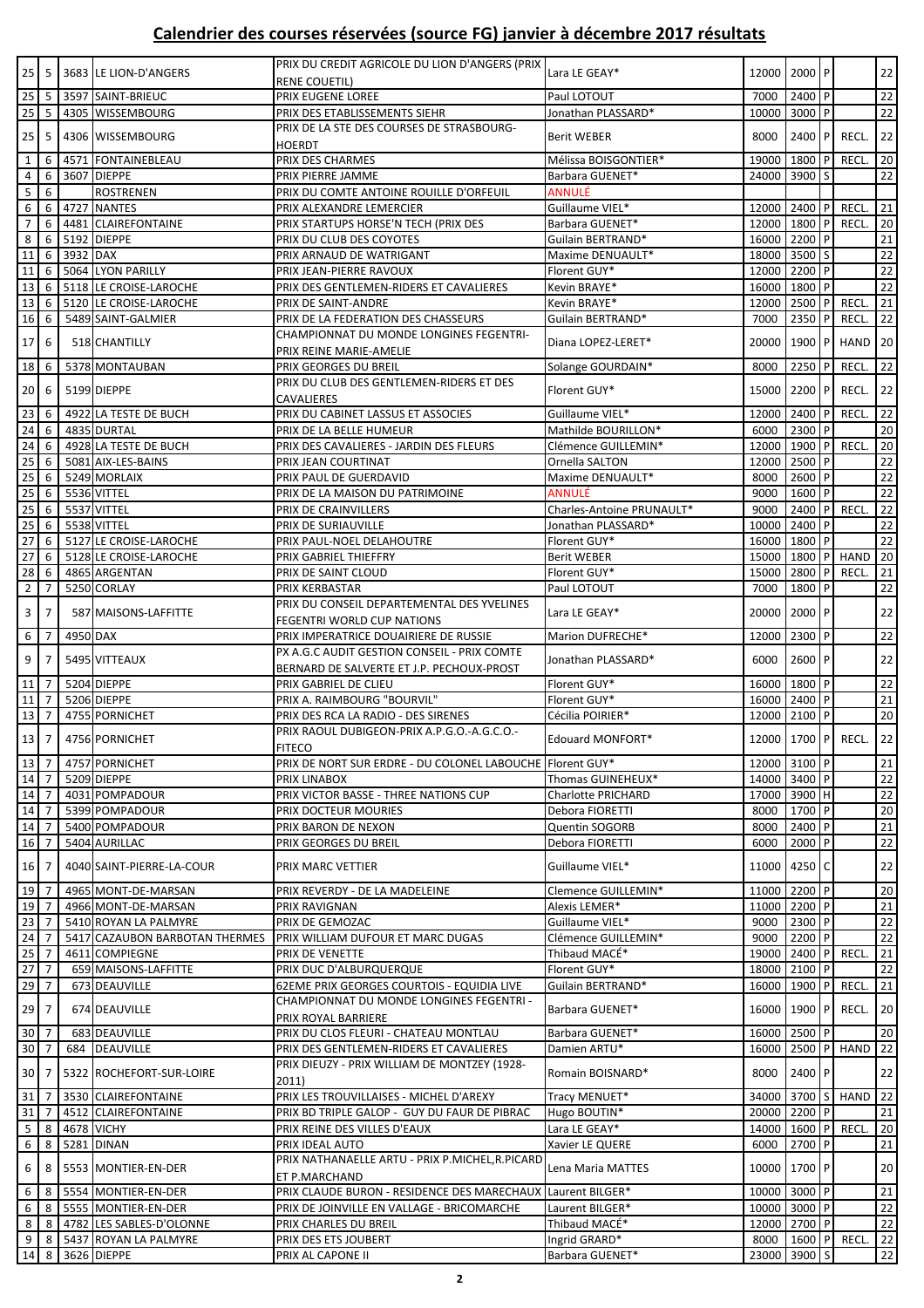| $25 \mid 5$                                           |                |          | 3683 LE LION-D'ANGERS                            | PRIX DU CREDIT AGRICOLE DU LION D'ANGERS (PRIX                                       | Lara LE GEAY*                        | 12000 2000 P       |              |              |             | 22                    |
|-------------------------------------------------------|----------------|----------|--------------------------------------------------|--------------------------------------------------------------------------------------|--------------------------------------|--------------------|--------------|--------------|-------------|-----------------------|
|                                                       |                |          |                                                  | RENE COUETIL)                                                                        |                                      |                    |              |              |             |                       |
| $25 \quad 5$<br>25                                    | 5              |          | 3597 SAINT-BRIEUC<br>4305 WISSEMBOURG            | PRIX EUGENE LOREE<br>PRIX DES ETABLISSEMENTS SIEHR                                   | Paul LOTOUT<br>Jonathan PLASSARD*    | 7000<br>10000      | 2400<br>3000 | P            |             | 22<br>22              |
|                                                       |                |          |                                                  | PRIX DE LA STE DES COURSES DE STRASBOURG-                                            |                                      |                    |              |              |             |                       |
| 25                                                    | 5              |          | 4306 WISSEMBOURG                                 | HOERDT                                                                               | <b>Berit WEBER</b>                   | 8000               | 2400         |              | RECL.       | 22                    |
| $\mathbf{1}$                                          | 6              |          | 4571 FONTAINEBLEAU                               | PRIX DES CHARMES                                                                     | Mélissa BOISGONTIER*                 | 19000              | 1800         |              | <b>RECL</b> | 20                    |
| 4                                                     | 6              |          | 3607 DIEPPE                                      | PRIX PIERRE JAMME                                                                    | Barbara GUENET*                      | 24000              | 3900         | <sub>S</sub> |             | 22                    |
| $\sf 5$                                               | 6              |          | <b>ROSTRENEN</b>                                 | PRIX DU COMTE ANTOINE ROUILLE D'ORFEUIL                                              | ANNULÉ                               |                    |              |              |             |                       |
| 6                                                     | 6              |          | 4727 NANTES                                      | PRIX ALEXANDRE LEMERCIER                                                             | Guillaume VIEL*                      | 12000              | 2400         |              | <b>RECL</b> | 21                    |
| $\overline{7}$                                        | 6              |          | 4481 CLAIREFONTAINE                              | PRIX STARTUPS HORSE'N TECH (PRIX DES                                                 | Barbara GUENET*                      | 12000 1800         |              |              | RECL.       | 20                    |
| 8                                                     | 6              |          | 5192 DIEPPE                                      | PRIX DU CLUB DES COYOTES                                                             | Guilain BERTRAND*                    | 16000 2200         |              |              |             | 21                    |
| 11                                                    | 6              | 3932 DAX |                                                  | PRIX ARNAUD DE WATRIGANT                                                             | Maxime DENUAULT*                     | 18000 3500 S       |              |              |             | $\overline{22}$       |
| 11                                                    | 6              |          | 5064 LYON PARILLY                                | PRIX JEAN-PIERRE RAVOUX                                                              | Florent GUY*                         | 12000 2200         |              | P            |             | 22                    |
| 13                                                    | 6              |          | 5118 LE CROISE-LAROCHE                           | PRIX DES GENTLEMEN-RIDERS ET CAVALIERES                                              | Kevin BRAYE*                         | 16000 1800         |              |              |             | 22                    |
| 13                                                    | 6              |          | 5120 LE CROISE-LAROCHE                           | PRIX DE SAINT-ANDRE                                                                  | Kevin BRAYE*                         | 12000 2500         |              |              | RECL.       | 21                    |
| $16 \mid 6$                                           |                |          | 5489 SAINT-GALMIER                               | PRIX DE LA FEDERATION DES CHASSEURS                                                  | Guilain BERTRAND*                    | 7000               | 2350         |              | RECL.       | 22                    |
| 17 6                                                  |                |          | 518 CHANTILLY                                    | CHAMPIONNAT DU MONDE LONGINES FEGENTRI-                                              | Diana LOPEZ-LERET*                   | 20000              | 1900 P       |              | HAND        | 20                    |
| 18 6                                                  |                |          | 5378 MONTAUBAN                                   | PRIX REINE MARIE-AMELIE<br>PRIX GEORGES DU BREIL                                     | Solange GOURDAIN*                    | 8000               | 2250         |              | RECL.       | 22                    |
|                                                       |                |          |                                                  | PRIX DU CLUB DES GENTLEMEN-RIDERS ET DES                                             |                                      |                    |              |              |             |                       |
| $20 \mid 6$                                           |                |          | 5199 DIEPPE                                      | <b>CAVALIERES</b>                                                                    | Florent GUY*                         | 15000              | 2200         |              | RECL.       | 22                    |
| $\overline{23}$ 6                                     |                |          | 4922 LA TESTE DE BUCH                            | PRIX DU CABINET LASSUS ET ASSOCIES                                                   | Guillaume VIEL*                      | 12000 2400         |              |              | RECL.       | 22                    |
| 24                                                    | 6              |          | 4835 DURTAL                                      | PRIX DE LA BELLE HUMEUR                                                              | Mathilde BOURILLON*                  | 6000               | 2300         |              |             | 20                    |
| $24 \overline{6}$                                     |                |          | 4928 LA TESTE DE BUCH                            | PRIX DES CAVALIERES - JARDIN DES FLEURS                                              | Clémence GUILLEMIN*                  | 12000 1900         |              | I P          | <b>RECL</b> | 20                    |
| 25                                                    | 6              |          | 5081 AIX-LES-BAINS                               | PRIX JEAN COURTINAT                                                                  | Ornella SALTON                       | 12000 2500         |              |              |             | 22                    |
| 25                                                    | 6              |          | 5249 MORLAIX                                     | PRIX PAUL DE GUERDAVID                                                               | Maxime DENUAULT*                     | 8000               | 2600         |              |             | 22                    |
| 25                                                    | 6              |          | 5536 VITTEL                                      | PRIX DE LA MAISON DU PATRIMOINE                                                      | ANNULÉ                               | 9000               | 1600         | l P          |             | $\overline{22}$       |
| 25                                                    | 6              |          | 5537 VITTEL                                      | PRIX DE CRAINVILLERS                                                                 | Charles-Antoine PRUNAULT*            | 9000               | 2400 P       |              | <b>RECL</b> | $22\,$                |
| 25                                                    | 6              |          | 5538 VITTEL                                      | PRIX DE SURIAUVILLE                                                                  | Jonathan PLASSARD*                   | 10000              | 2400         |              |             | 22                    |
| 27                                                    | 6              |          | 5127 LE CROISE-LAROCHE                           | PRIX PAUL-NOEL DELAHOUTRE                                                            | Florent GUY*                         | 16000 1800         |              |              |             | 22                    |
| 27                                                    | 6              |          | 5128 LE CROISE-LAROCHE                           | PRIX GABRIEL THIEFFRY                                                                | <b>Berit WEBER</b>                   | 15000              | 1800         | I P          | <b>HAND</b> | 20                    |
| 28                                                    | l 6            |          | 4865 ARGENTAN                                    | PRIX DE SAINT CLOUD                                                                  | Florent GUY*                         | 15000 2800         |              |              | RECL.       | 21                    |
| $\mathbf 2$                                           | $\overline{7}$ |          | 5250 CORLAY                                      | PRIX KERBASTAR                                                                       | Paul LOTOUT                          | 7000               | 1800         |              |             | 22                    |
| $\overline{\mathbf{3}}$                               | $\overline{7}$ |          | 587 MAISONS-LAFFITTE                             | PRIX DU CONSEIL DEPARTEMENTAL DES YVELINES                                           | Lara LE GEAY*                        | 20000              | 2000 P       |              |             | 22                    |
|                                                       |                | 4950 DAX |                                                  | FEGENTRI WORLD CUP NATIONS                                                           |                                      |                    |              |              |             |                       |
|                                                       | $6 \mid 7$     |          |                                                  | PRIX IMPERATRICE DOUAIRIERE DE RUSSIE<br>PX A.G.C AUDIT GESTION CONSEIL - PRIX COMTE | Marion DUFRECHE*                     | 12000              | 2300         | P            |             | 22                    |
|                                                       | $9 \mid 7$     |          | 5495 VITTEAUX                                    | BERNARD DE SALVERTE ET J.P. PECHOUX-PROST                                            | Jonathan PLASSARD*                   | 6000               | $2600$ P     |              |             | 22                    |
| 11 7                                                  |                |          | 5204 DIEPPE                                      | PRIX GABRIEL DE CLIEU                                                                | Florent GUY*                         | 16000 1800 P       |              |              |             | 22                    |
| 11                                                    | 7              |          | 5206 DIEPPE                                      | PRIX A. RAIMBOURG "BOURVIL"                                                          | Florent GUY*                         | 16000 2400 P       |              |              |             | 21                    |
| 13 7                                                  |                |          | 4755 PORNICHET                                   | PRIX DES RCA LA RADIO - DES SIRENES                                                  | Cécilia POIRIER*                     | 12000 2100 P       |              |              |             | 20                    |
|                                                       |                |          |                                                  | PRIX RAOUL DUBIGEON-PRIX A.P.G.O.-A.G.C.O.-                                          |                                      |                    |              |              |             |                       |
| 13 7                                                  |                |          | 4756 PORNICHET                                   | <b>FITECO</b>                                                                        | Edouard MONFORT*                     | 12000 1700 P       |              |              | RECL.       | 22                    |
|                                                       |                |          | 4757 PORNICHET                                   | PRIX DE NORT SUR ERDRE - DU COLONEL LABOUCHE Florent GUY*                            |                                      | 12000 3100 P       |              |              |             | 21                    |
| $14 \overline{7}$                                     |                |          | 5209 DIEPPE                                      | PRIX LINABOX                                                                         | Thomas GUINEHEUX*                    | 14000 3400 P       |              |              |             | 22                    |
|                                                       |                |          | 4031 POMPADOUR                                   | PRIX VICTOR BASSE - THREE NATIONS CUP                                                | Charlotte PRICHARD                   | 17000 3900 H       |              |              |             | $\overline{22}$       |
| $14$ 7                                                |                |          | 5399 POMPADOUR                                   | PRIX DOCTEUR MOURIES                                                                 | Debora FIORETTI                      | 8000               | 1700 P       |              |             | 20                    |
| $14 \mid 7$                                           |                |          | 5400 POMPADOUR                                   | PRIX BARON DE NEXON                                                                  | Quentin SOGORB                       | 8000               | 2400 P       |              |             | 21                    |
| 16 7                                                  |                |          | 5404 AURILLAC                                    | PRIX GEORGES DU BREIL                                                                | Debora FIORETTI                      | 6000               | 2000 P       |              |             | 22                    |
| 16 7                                                  |                |          | 4040 SAINT-PIERRE-LA-COUR                        | PRIX MARC VETTIER                                                                    | Guillaume VIEL*                      | 11000 4250 C       |              |              |             | 22                    |
|                                                       |                |          |                                                  |                                                                                      |                                      |                    |              |              |             |                       |
| $\boxed{19}$ 7                                        |                |          | 4965 MONT-DE-MARSAN                              | PRIX REVERDY - DE LA MADELEINE                                                       | Clemence GUILLEMIN*                  | 11000 2200 P       |              |              |             | 20                    |
| $19$ 7                                                |                |          | 4966 MONT-DE-MARSAN                              | PRIX RAVIGNAN                                                                        | Alexis LEMER*                        | 11000 2200 P       |              |              |             | 21                    |
| $23 \overline{\smash{\big)} }$ 7<br>$24 \overline{7}$ |                |          | 5410 ROYAN LA PALMYRE                            | PRIX DE GEMOZAC                                                                      | Guillaume VIEL*                      | 9000 2300 P        | 2200 P       |              |             | 22<br>$\overline{22}$ |
| $25 \boxed{7}$                                        |                |          | 5417 CAZAUBON BARBOTAN THERMES<br>4611 COMPIEGNE | PRIX WILLIAM DUFOUR ET MARC DUGAS<br>PRIX DE VENETTE                                 | Clémence GUILLEMIN*<br>Thibaud MACÉ* | 9000<br>19000 2400 |              |              | RECL.       | 21                    |
| $27 \overline{\smash{\big)}\ 7}$                      |                |          | 659 MAISONS-LAFFITTE                             | PRIX DUC D'ALBURQUERQUE                                                              | Florent GUY*                         | 18000 2100 P       |              |              |             | 22                    |
| 29 7                                                  |                |          | 673 DEAUVILLE                                    | 62EME PRIX GEORGES COURTOIS - EQUIDIA LIVE                                           | Guilain BERTRAND*                    | 16000 1900         |              |              | RECL.       | 21                    |
|                                                       |                |          |                                                  | CHAMPIONNAT DU MONDE LONGINES FEGENTRI -                                             |                                      |                    |              |              |             |                       |
| 29 7                                                  |                |          | 674 DEAUVILLE                                    | PRIX ROYAL BARRIERE                                                                  | Barbara GUENET*                      | 16000 1900         |              |              | RECL.       | $ 20\rangle$          |
| 30 7                                                  |                |          | 683 DEAUVILLE                                    | PRIX DU CLOS FLEURI - CHATEAU MONTLAU                                                | Barbara GUENET*                      | 16000 2500 P       |              |              |             | 20                    |
| $30\overline{7}$                                      |                |          | 684 DEAUVILLE                                    | PRIX DES GENTLEMEN-RIDERS ET CAVALIERES                                              | Damien ARTU*                         | 16000 2500 P       |              |              | <b>HAND</b> | 22                    |
|                                                       |                |          |                                                  | PRIX DIEUZY - PRIX WILLIAM DE MONTZEY (1928-                                         |                                      |                    |              |              |             |                       |
| 30 7                                                  |                |          | 5322 ROCHEFORT-SUR-LOIRE                         | 2011)                                                                                | Romain BOISNARD*                     | 8000               | 2400 P       |              |             | 22                    |
| $31 \overline{\smash{\big)}\ 7}$                      |                |          | 3530 CLAIREFONTAINE                              | PRIX LES TROUVILLAISES - MICHEL D'AREXY                                              | Tracy MENUET*                        | 34000 3700 S       |              |              | HAND        | 22                    |
| $31 \overline{\smash{\big)}\ 7}$                      |                |          | 4512 CLAIREFONTAINE                              | PRIX BD TRIPLE GALOP - GUY DU FAUR DE PIBRAC                                         | Hugo BOUTIN*                         | 20000 2200 P       |              |              |             | 21                    |
| $5\phantom{.0}$                                       | 8              |          | <b>4678 VICHY</b>                                | PRIX REINE DES VILLES D'EAUX                                                         | Lara LE GEAY*                        | 14000 1600 P       |              |              | RECL.       | 20                    |
|                                                       | $6 \quad 8$    |          | 5281 DINAN                                       | PRIX IDEAL AUTO                                                                      | Xavier LE QUERE                      | 6000               | 2700 P       |              |             | 21                    |
|                                                       | $6 \mid 8$     |          | 5553 MONTIER-EN-DER                              | PRIX NATHANAELLE ARTU - PRIX P.MICHEL,R.PICARD                                       | Lena Maria MATTES                    | 10000 1700 P       |              |              |             | 20                    |
|                                                       |                |          |                                                  | ET P.MARCHAND                                                                        |                                      |                    |              |              |             |                       |
|                                                       | $6 \mid 8$     |          | 5554 MONTIER-EN-DER                              | PRIX CLAUDE BURON - RESIDENCE DES MARECHAUX                                          | Laurent BILGER*                      | 10000 3000 P       |              |              |             | $\overline{21}$       |
|                                                       | $6 \mid 8$     |          | 5555 MONTIER-EN-DER                              | PRIX DE JOINVILLE EN VALLAGE - BRICOMARCHE                                           | Laurent BILGER*                      | 10000 3000 P       |              |              |             | 22                    |
| 8                                                     | 8              |          | 4782 LES SABLES-D'OLONNE                         | PRIX CHARLES DU BREIL                                                                | Thibaud MACÉ*                        | 12000 2700 P       |              |              |             | 22                    |
|                                                       |                |          | 9 8 5437 ROYAN LA PALMYRE                        | PRIX DES ETS JOUBERT                                                                 | Ingrid GRARD*                        | 8000 1600 P        |              |              | RECL.       | 22                    |
| 14                                                    | 8              |          | 3626 DIEPPE                                      | PRIX AL CAPONE II                                                                    | Barbara GUENET*                      | 23000 3900 S       |              |              |             | $22\,$                |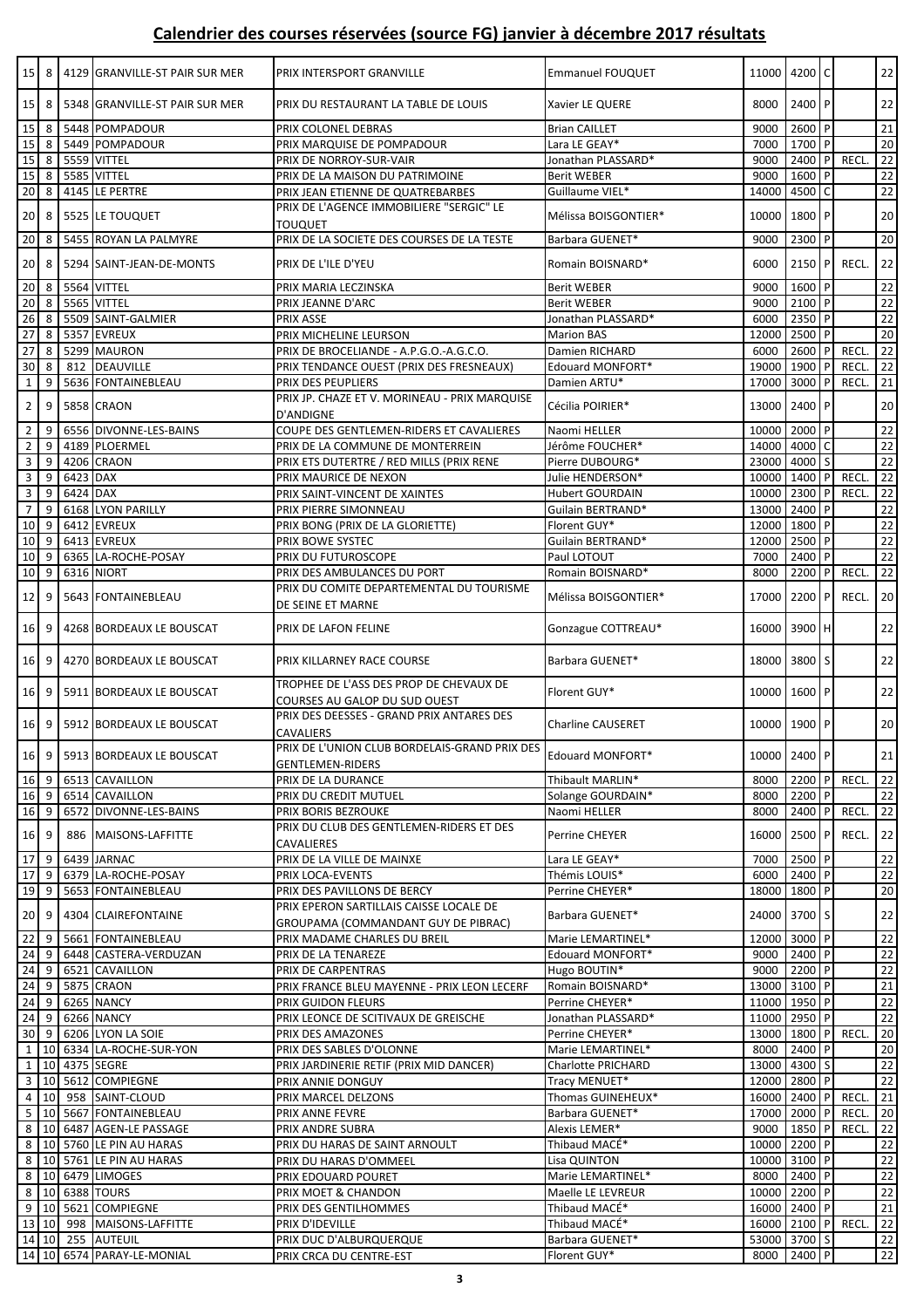|                                  | $15$   8          |          | 4129 GRANVILLE-ST PAIR SUR MER | PRIX INTERSPORT GRANVILLE                                                | <b>Emmanuel FOUQUET</b>   | 11000 4200 C |          |              |             | 22              |
|----------------------------------|-------------------|----------|--------------------------------|--------------------------------------------------------------------------|---------------------------|--------------|----------|--------------|-------------|-----------------|
|                                  | $15$   8          |          | 5348 GRANVILLE-ST PAIR SUR MER | PRIX DU RESTAURANT LA TABLE DE LOUIS                                     | Xavier LE QUERE           | 8000         | 2400 P   |              |             | 22              |
| $15 \overline{\smash{\big)}\ 8}$ |                   |          | 5448 POMPADOUR                 | PRIX COLONEL DEBRAS                                                      | <b>Brian CAILLET</b>      | 9000         | 2600     | P            |             | 21              |
| 15                               | 8                 |          | 5449 POMPADOUR                 | PRIX MARQUISE DE POMPADOUR                                               | Lara LE GEAY*             | 7000         | 1700     | P            |             | 20              |
| 15                               | 8                 |          | 5559 VITTEL                    | PRIX DE NORROY-SUR-VAIR                                                  | Jonathan PLASSARD*        | 9000         | 2400 P   |              | <b>RECL</b> | 22              |
| 15                               | 8                 |          | 5585 VITTEL                    | PRIX DE LA MAISON DU PATRIMOINE                                          | <b>Berit WEBER</b>        | 9000         | 1600     | P            |             | 22              |
| 20                               | 8                 |          | 4145 LE PERTRE                 | PRIX JEAN ETIENNE DE QUATREBARBES                                        | Guillaume VIEL*           | 14000        | 4500 C   |              |             | 22              |
| 20                               | 8                 |          | 5525 LE TOUQUET                | PRIX DE L'AGENCE IMMOBILIERE "SERGIC" LE<br><b>TOUQUET</b>               | Mélissa BOISGONTIER*      | 10000 1800 P |          |              |             | 20              |
| 20                               | 8                 |          | 5455 ROYAN LA PALMYRE          | PRIX DE LA SOCIETE DES COURSES DE LA TESTE                               | Barbara GUENET*           | 9000         | 2300 P   |              |             | 20              |
|                                  |                   |          |                                |                                                                          |                           |              |          |              |             |                 |
| 20 <sup>1</sup>                  | 8                 |          | 5294 SAINT-JEAN-DE-MONTS       | PRIX DE L'ILE D'YEU                                                      | Romain BOISNARD*          | 6000         | 2150     | P            | RECL.       | 22              |
| 20 8                             |                   |          | 5564 VITTEL                    | PRIX MARIA LECZINSKA                                                     | <b>Berit WEBER</b>        | 9000         | 1600 P   |              |             | 22              |
| 20                               | 8                 |          | 5565 VITTEL                    | PRIX JEANNE D'ARC                                                        | <b>Berit WEBER</b>        | 9000         | $2100$ P |              |             | 22              |
| 26                               | 8                 |          | 5509 SAINT-GALMIER             | PRIX ASSE                                                                | Jonathan PLASSARD*        | 6000         | 2350 P   |              |             | 22              |
| 27                               | 8                 |          | 5357 EVREUX                    | PRIX MICHELINE LEURSON                                                   | <b>Marion BAS</b>         | 12000 2500 P |          |              |             | 20              |
| 27                               | 8                 |          | 5299 MAURON                    | PRIX DE BROCELIANDE - A.P.G.O.-A.G.C.O.                                  | Damien RICHARD            | 6000         | 2600     | P            | <b>RECL</b> | 22              |
| 30                               | 8                 |          | 812 DEAUVILLE                  | PRIX TENDANCE OUEST (PRIX DES FRESNEAUX)                                 | Edouard MONFORT*          | 19000 1900   |          | $\mathsf{P}$ | RECL.       | 22              |
| $\mathbf 1$                      | 9                 |          | 5636 FONTAINEBLEAU             | PRIX DES PEUPLIERS                                                       | Damien ARTU*              | 17000        | 3000     | l P          | RECL.       | 21              |
|                                  | 9                 |          | 5858 CRAON                     | PRIX JP. CHAZE ET V. MORINEAU - PRIX MARQUISE                            | Cécilia POIRIER*          | 13000 2400 P |          |              |             | 20              |
| $\overline{2}$                   |                   |          |                                | D'ANDIGNE                                                                |                           |              |          |              |             |                 |
| $\overline{2}$                   | -9                |          | 6556 DIVONNE-LES-BAINS         | COUPE DES GENTLEMEN-RIDERS ET CAVALIERES                                 | Naomi HELLER              | 10000 2000   |          | P            |             | 22              |
| $\overline{2}$                   | 9                 |          | 4189 PLOERMEL                  | PRIX DE LA COMMUNE DE MONTERREIN                                         | Jérôme FOUCHER*           | 14000 4000   |          |              |             | 22              |
| 3                                | 9                 |          | 4206 CRAON                     | PRIX ETS DUTERTRE / RED MILLS (PRIX RENE                                 | Pierre DUBOURG*           | 23000 4000   |          |              |             | 22              |
|                                  | $3 \mid 9$        | 6423 DAX |                                | PRIX MAURICE DE NEXON                                                    | Julie HENDERSON*          | 10000 1400   |          | P            | <b>RECL</b> | 22              |
| $\mathbf{3}$                     | 9                 | 6424 DAX |                                | PRIX SAINT-VINCENT DE XAINTES                                            | <b>Hubert GOURDAIN</b>    | 10000 2300   |          |              | RECL.       | $\overline{22}$ |
| $\overline{7}$                   | 9                 |          | 6168 LYON PARILLY              | PRIX PIERRE SIMONNEAU                                                    | Guilain BERTRAND*         | 13000 2400   |          | $\mathsf{P}$ |             | 22              |
| $10 \mid 9$                      |                   |          | 6412 EVREUX                    | PRIX BONG (PRIX DE LA GLORIETTE)                                         | Florent GUY*              | 12000 1800   |          | P            |             | 22              |
| 10 9                             |                   |          | 6413 EVREUX                    | PRIX BOWE SYSTEC                                                         | Guilain BERTRAND*         | 12000 2500   |          |              |             | 22              |
| 10                               | 9                 |          | 6365 LA-ROCHE-POSAY            | PRIX DU FUTUROSCOPE                                                      | Paul LOTOUT               | 7000         | 2400     |              |             | 22              |
| 10                               | 9                 |          | 6316 NIORT                     | PRIX DES AMBULANCES DU PORT                                              | Romain BOISNARD*          | 8000         | 2200     | P            | <b>RECL</b> | 22              |
| 12                               | 9                 |          | 5643 FONTAINEBLEAU             | PRIX DU COMITE DEPARTEMENTAL DU TOURISME<br>DE SEINE ET MARNE            | Mélissa BOISGONTIER*      | 17000        | 2200 P   |              | RECL.       | 20              |
| 16                               | 9                 |          | 4268 BORDEAUX LE BOUSCAT       | PRIX DE LAFON FELINE                                                     | Gonzague COTTREAU*        | 16000        | 3900 H   |              |             | 22              |
|                                  | $16$ 9            |          | 4270 BORDEAUX LE BOUSCAT       | PRIX KILLARNEY RACE COURSE                                               | Barbara GUENET*           | 18000        | 3800 S   |              |             | 22              |
| 16 <sup>1</sup>                  | 9                 |          | 5911 BORDEAUX LE BOUSCAT       | TROPHEE DE L'ASS DES PROP DE CHEVAUX DE<br>COURSES AU GALOP DU SUD OUEST | Florent GUY*              | 10000 1600 P |          |              |             | 22              |
| $16$ 9                           |                   |          | 5912 BORDEAUX LE BOUSCAT       | PRIX DES DEESSES - GRAND PRIX ANTARES DES<br><b>CAVALIERS</b>            | <b>Charline CAUSERET</b>  | 10000 1900 P |          |              |             | 20              |
|                                  |                   |          | 16 9 5913 BORDEAUX LE BOUSCAT  | PRIX DE L'UNION CLUB BORDELAIS-GRAND PRIX DES<br><b>GENTLEMEN-RIDERS</b> | Edouard MONFORT*          | 10000 2400 P |          |              |             | 21              |
|                                  | 16 9              |          | 6513 CAVAILLON                 | PRIX DE LA DURANCE                                                       | Thibault MARLIN*          | 8000         | 2200 P   |              | RECL.       | 22              |
| $16 \quad 9$                     |                   |          | 6514 CAVAILLON                 | PRIX DU CREDIT MUTUEL                                                    | Solange GOURDAIN*         | 8000         | 2200 P   |              |             | 22              |
|                                  | 16 9              |          | 6572 DIVONNE-LES-BAINS         | PRIX BORIS BEZROUKE                                                      | Naomi HELLER              | 8000         | 2400 P   |              | RECL.       | 22              |
| 16 9                             |                   |          | 886 MAISONS-LAFFITTE           | PRIX DU CLUB DES GENTLEMEN-RIDERS ET DES<br><b>CAVALIERES</b>            | <b>Perrine CHEYER</b>     | 16000        | 2500     | l P          | RECL.       | 22              |
| 17 9                             |                   |          | 6439 JARNAC                    | PRIX DE LA VILLE DE MAINXE                                               | Lara LE GEAY*             | 7000         | 2500 P   |              |             | 22              |
| 17                               | 9                 |          | 6379 LA-ROCHE-POSAY            | PRIX LOCA-EVENTS                                                         | Thémis LOUIS*             | 6000         | 2400 P   |              |             | 22              |
|                                  | 19 9              |          | 5653 FONTAINEBLEAU             | PRIX DES PAVILLONS DE BERCY                                              | Perrine CHEYER*           | 18000 1800 P |          |              |             | 20              |
|                                  |                   |          |                                | PRIX EPERON SARTILLAIS CAISSE LOCALE DE                                  |                           |              |          |              |             |                 |
|                                  | 20 9              |          | 4304 CLAIREFONTAINE            | GROUPAMA (COMMANDANT GUY DE PIBRAC)                                      | Barbara GUENET*           | 24000 3700 S |          |              |             | 22              |
| $22 \mid 9$                      |                   |          | 5661 FONTAINEBLEAU             | PRIX MADAME CHARLES DU BREIL                                             | Marie LEMARTINEL*         | 12000 3000 P |          |              |             | $\overline{22}$ |
| 24                               | 9                 |          | 6448 CASTERA-VERDUZAN          | PRIX DE LA TENAREZE                                                      | Edouard MONFORT*          | 9000         | 2400 P   |              |             | 22              |
| 24                               | l 9               |          | 6521 CAVAILLON                 | PRIX DE CARPENTRAS                                                       | Hugo BOUTIN*              | 9000         | 2200 P   |              |             | $22\,$          |
| $24$ 9                           |                   |          | 5875 CRAON                     | PRIX FRANCE BLEU MAYENNE - PRIX LEON LECERF                              | Romain BOISNARD*          | 13000 3100 P |          |              |             | 21              |
|                                  | 24 9              |          | 6265 NANCY                     | PRIX GUIDON FLEURS                                                       | Perrine CHEYER*           | 11000 1950 P |          |              |             | 22              |
|                                  | $24 \overline{9}$ |          | 6266 NANCY                     | PRIX LEONCE DE SCITIVAUX DE GREISCHE                                     | Jonathan PLASSARD*        | 11000 2950 P |          |              |             | 22              |
|                                  | 30 9              |          | 6206 LYON LA SOIE              | PRIX DES AMAZONES                                                        | Perrine CHEYER*           | 13000 1800 P |          |              | <b>RECL</b> | $\overline{20}$ |
| $\mathbf{1}$                     |                   |          | 10 6334 LA-ROCHE-SUR-YON       | PRIX DES SABLES D'OLONNE                                                 | Marie LEMARTINEL*         | 8000         | 2400     | $\mathsf{P}$ |             | 20              |
| $\mathbf{1}$                     |                   |          | 10 4375 SEGRE                  | PRIX JARDINERIE RETIF (PRIX MID DANCER)                                  | <b>Charlotte PRICHARD</b> | 13000 4300 S |          |              |             | 22              |
|                                  |                   |          | 3 10 5612 COMPIEGNE            | PRIX ANNIE DONGUY                                                        | Tracy MENUET*             | 12000 2800 P |          |              |             | 22              |
|                                  | 4 10              |          | 958 SAINT-CLOUD                | PRIX MARCEL DELZONS                                                      | Thomas GUINEHEUX*         | 16000 2400 P |          |              | RECL.       | 21              |
|                                  |                   |          | 5 10 5667 FONTAINEBLEAU        | PRIX ANNE FEVRE                                                          | Barbara GUENET*           | 17000 2000   |          |              | RECL.       | 20              |
|                                  |                   |          | 8 10 6487 AGEN-LE PASSAGE      | PRIX ANDRE SUBRA                                                         | Alexis LEMER*             | 9000         | 1850     | <b>P</b>     | RECL.       | $22\,$          |
|                                  |                   |          | 8 10 5760 LE PIN AU HARAS      | PRIX DU HARAS DE SAINT ARNOULT                                           | Thibaud MACÉ*             | 10000 2200   |          | P            |             | 22              |
|                                  |                   |          | 8   10   5761 LE PIN AU HARAS  | PRIX DU HARAS D'OMMEEL                                                   | Lisa QUINTON              | 10000 3100 P |          |              |             | 22              |
|                                  |                   |          | 8 10 6479 LIMOGES              | PRIX EDOUARD POURET                                                      | Marie LEMARTINEL*         | 8000         | $2400$ P |              |             | 22              |
|                                  |                   |          | 8 10 6388 TOURS                | PRIX MOET & CHANDON                                                      | Maelle LE LEVREUR         | 10000 2200 P |          |              |             | $22\,$          |
|                                  |                   |          | 9 10 5621 COMPIEGNE            | PRIX DES GENTILHOMMES                                                    | Thibaud MACÉ*             | 16000 2400 P |          |              |             | 21              |
|                                  |                   |          | 13 10 998 MAISONS-LAFFITTE     | PRIX D'IDEVILLE                                                          | Thibaud MACÉ*             | 16000 2100 P |          |              | RECL.       | 22              |
|                                  |                   |          | 14 10 255 AUTEUIL              | PRIX DUC D'ALBURQUERQUE                                                  | Barbara GUENET*           | 53000 3700 S |          |              |             | 22              |
|                                  |                   |          | 14 10 6574 PARAY-LE-MONIAL     | PRIX CRCA DU CENTRE-EST                                                  | Florent GUY*              | 8000         | 2400 P   |              |             | $\overline{22}$ |